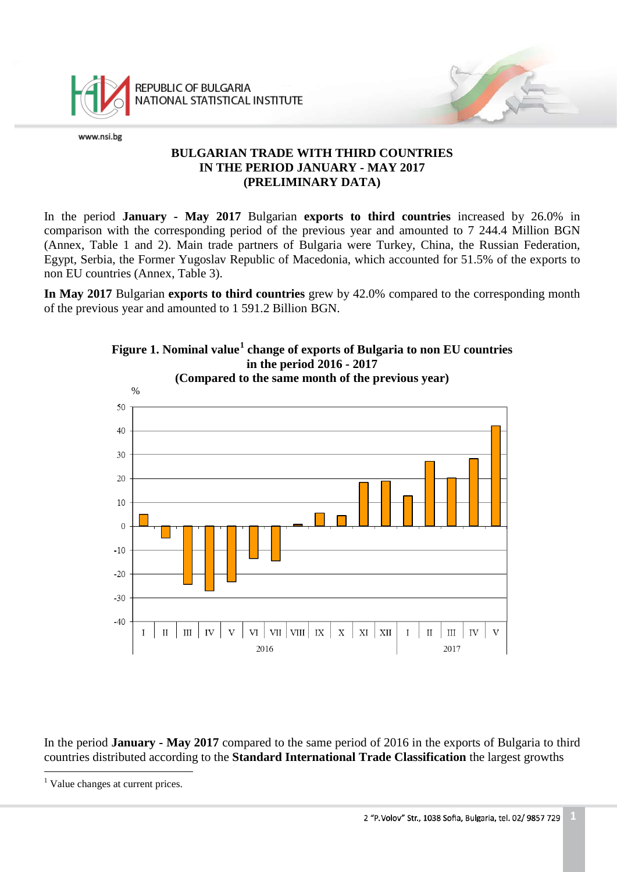

REPUBLIC OF BULGARIA NATIONAL STATISTICAL INSTITUTE

www.nsi.bg

# **BULGARIAN TRADE WITH THIRD COUNTRIES IN THE PERIOD JANUARY - MAY 2017 (PRELIMINARY DATA)**

In the period **January - May 2017** Bulgarian **exports to third countries** increased by 26.0% in comparison with the corresponding period of the previous year and amounted to 7 244.4 Million BGN (Annex, Table 1 and 2). Main trade partners of Bulgaria were Turkey, China, the Russian Federation, Egypt, Serbia, the Former Yugoslav Republic of Macedonia, which accounted for 51.5% of the exports to non EU countries (Annex, Table 3).

**In May 2017** Bulgarian **exports to third countries** grew by 42.0% compared to the corresponding month of the previous year and amounted to 1 591.2 Billion BGN.



In the period **January - May 2017** compared to the same period of 2016 in the exports of Bulgaria to third countries distributed according to the **Standard International Trade Classification** the largest growths

<span id="page-0-0"></span><sup>&</sup>lt;sup>1</sup> Value changes at current prices.  $\frac{1}{1}$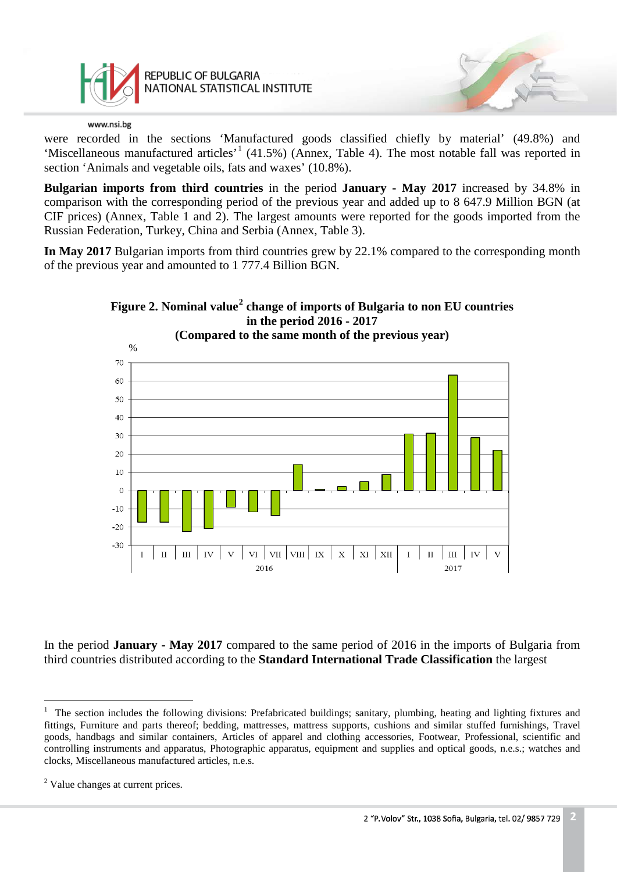

REPUBLIC OF BULGARIA NATIONAL STATISTICAL INSTITUTE

### www.nsi.bg

were recorded in the sections 'Manufactured goods classified chiefly by material' (49.8%) and 'Miscellaneous manufactured articles'<sup>[1](#page-1-0)</sup> (41.5%) (Annex, Table 4). The most notable fall was reported in section 'Animals and vegetable oils, fats and waxes' (10.8%).

**Bulgarian imports from third countries** in the period **January - May 2017** increased by 34.8% in comparison with the corresponding period of the previous year and added up to 8 647.9 Million BGN (at CIF prices) (Annex, Table 1 and 2). The largest amounts were reported for the goods imported from the Russian Federation, Turkey, China and Serbia (Annex, Table 3).

**In May 2017** Bulgarian imports from third countries grew by 22.1% compared to the corresponding month of the previous year and amounted to 1 777.4 Billion BGN.



In the period **January - May 2017** compared to the same period of 2016 in the imports of Bulgaria from third countries distributed according to the **Standard International Trade Classification** the largest

<span id="page-1-0"></span><sup>&</sup>lt;sup>1</sup> The section includes the following divisions: Prefabricated buildings; sanitary, plumbing, heating and lighting fixtures and fittings, Furniture and parts thereof; bedding, mattresses, mattress supports, cushions and similar stuffed furnishings, Travel goods, handbags and similar containers, Articles of apparel and clothing accessories, Footwear, Professional, scientific and controlling instruments and apparatus, Photographic apparatus, equipment and supplies and optical goods, n.e.s.; watches and clocks, Miscellaneous manufactured articles, n.e.s.  $\frac{1}{1}$ 

<span id="page-1-1"></span><sup>&</sup>lt;sup>2</sup> Value changes at current prices.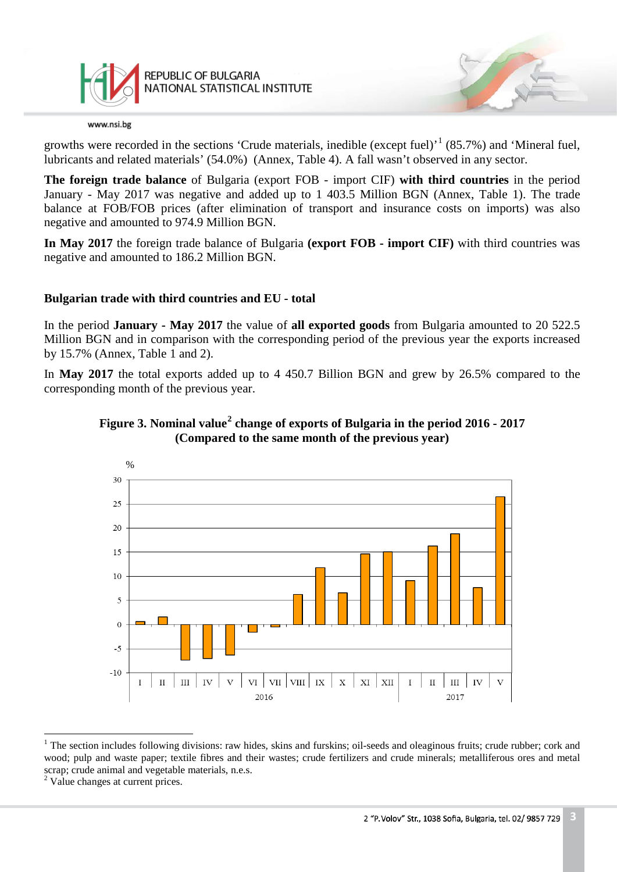

growths were recorded in the sections 'Crude materials, inedible (except fuel)<sup>, [1](#page-2-0)</sup> (85.7%) and 'Mineral fuel, lubricants and related materials' (54.0%) (Annex, Table 4). A fall wasn't observed in any sector.

**The foreign trade balance** of Bulgaria (export FOB - import CIF) **with third countries** in the period January - May 2017 was negative and added up to 1 403.5 Million BGN (Annex, Table 1). The trade balance at FOB/FOB prices (after elimination of transport and insurance costs on imports) was also negative and amounted to 974.9 Million BGN.

**In May 2017** the foreign trade balance of Bulgaria **(export FOB - import CIF)** with third countries was negative and amounted to 186.2 Million BGN.

## **Bulgarian trade with third countries and EU - total**

In the period **January - May 2017** the value of **all exported goods** from Bulgaria amounted to 20 522.5 Million BGN and in comparison with the corresponding period of the previous year the exports increased by 15.7% (Annex, Table 1 and 2).

In **May 2017** the total exports added up to 4 450.7 Billion BGN and grew by 26.5% compared to the corresponding month of the previous year.





<span id="page-2-0"></span> $1$  The section includes following divisions: raw hides, skins and furskins; oil-seeds and oleaginous fruits; crude rubber; cork and wood; pulp and waste paper; textile fibres and their wastes; crude fertilizers and crude minerals; metalliferous ores and metal scrap; crude animal and vegetable materials, n.e.s.  $\frac{1}{1}$ 

<span id="page-2-1"></span><sup>&</sup>lt;sup>2</sup> Value changes at current prices.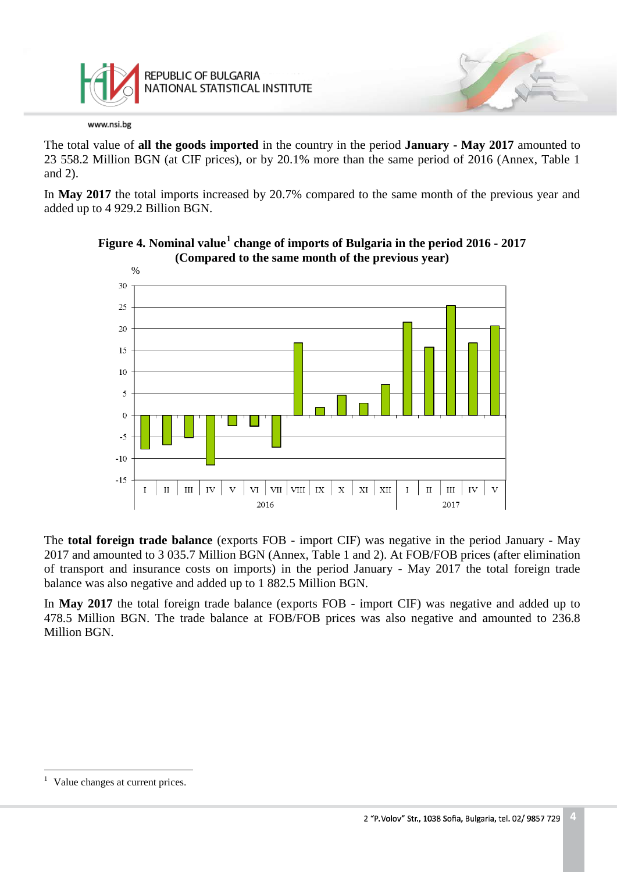

The total value of **all the goods imported** in the country in the period **January - May 2017** amounted to 23 558.2 Million BGN (at CIF prices), or by 20.1% more than the same period of 2016 (Annex, Table 1 and 2).

In **May 2017** the total imports increased by 20.7% compared to the same month of the previous year and added up to 4 929.2 Billion BGN.





The **total foreign trade balance** (exports FOB - import CIF) was negative in the period January - May 2017 and amounted to 3 035.7 Million BGN (Annex, Table 1 and 2). At FOB/FOB prices (after elimination of transport and insurance costs on imports) in the period January - May 2017 the total foreign trade balance was also negative and added up to 1 882.5 Million BGN.

In **May 2017** the total foreign trade balance (exports FOB - import CIF) was negative and added up to 478.5 Million BGN. The trade balance at FOB/FOB prices was also negative and amounted to 236.8 Million BGN.

<span id="page-3-0"></span><sup>&</sup>lt;sup>1</sup> Value changes at current prices.  $\overline{a}$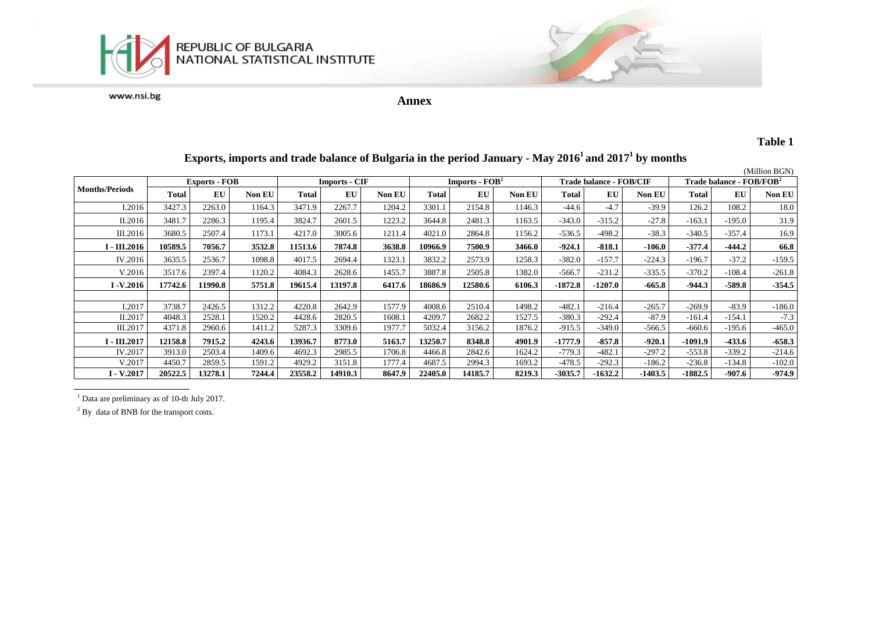

**Annex**

## **Table 1**

# **Exports, imports and trade balance of Bulgaria in the period January - May 20161 and 20171 by months**

|                       | <b>Exports - FOB</b> |         |               | <b>Imports - CIF</b> |         |               | $Imports - FOB2$ |         |               | <b>Trade balance - FOB/CIF</b> |           |               | Trade balance - FOB/FOB <sup>2</sup> |          |          |
|-----------------------|----------------------|---------|---------------|----------------------|---------|---------------|------------------|---------|---------------|--------------------------------|-----------|---------------|--------------------------------------|----------|----------|
| <b>Months/Periods</b> | Total                | EU      | <b>Non EU</b> | <b>Total</b>         | EU      | <b>Non EU</b> | <b>Total</b>     | EU      | <b>Non EU</b> | Total                          | EU        | <b>Non EU</b> | Total                                | EU       | Non EU   |
| I.2016                | 3427.3               | 2263.0  | 1164.3        | 3471.9               | 2267.7  | 1204.2        | 3301.1           | 2154.8  | 1146.3        | $-44.6$                        | $-4.7$    | $-39.9$       | 126.2                                | 108.2    | 18.0     |
| II.2016               | 3481.7               | 2286.3  | 1195.4        | 3824.7               | 2601.5  | 1223.2        | 3644.8           | 2481.3  | 1163.5        | $-343.0$                       | $-315.2$  | $-27.8$       | $-163.1$                             | $-195.0$ | 31.9     |
| III.2016              | 3680.5               | 2507.4  | 1173.1        | 4217.0               | 3005.6  | 1211.4        | 4021.0           | 2864.8  | 1156.2        | $-536.5$                       | $-498.2$  | $-38.3$       | $-340.5$                             | $-357.4$ | 16.9     |
| $I - III.2016$        | 10589.5              | 7056.7  | 3532.8        | 11513.6              | 7874.8  | 3638.8        | 10966.9          | 7500.9  | 3466.0        | $-924.1$                       | $-818.1$  | $-106.0$      | $-377.4$                             | $-444.2$ | 66.8     |
| IV.2016               | 3635.5               | 2536.7  | 1098.8        | 4017.5               | 2694.4  | 1323.1        | 3832.2           | 2573.9  | 1258.3        | $-382.0$                       | $-157.7$  | $-224.3$      | $-196.7$                             | $-37.2$  | $-159.5$ |
| V.2016                | 3517.6               | 2397.4  | 1120.2        | 4084.3               | 2628.6  | 1455.7        | 3887.8           | 2505.8  | 1382.0        | $-566.7$                       | $-231.2$  | $-335.5$      | $-370.2$                             | $-108.4$ | $-261.8$ |
| $I - V.2016$          | 17742.6              | 11990.8 | 5751.8        | 19615.4              | 13197.8 | 6417.6        | 18686.9          | 12580.6 | 6106.3        | $-1872.8$                      | $-1207.0$ | $-665.8$      | $-944.3$                             | $-589.8$ | $-354.5$ |
|                       |                      |         |               |                      |         |               |                  |         |               |                                |           |               |                                      |          |          |
| I.2017                | 3738.7               | 2426.5  | 1312.2        | 4220.8               | 2642.9  | 1577.9        | 4008.6           | 2510.4  | 1498.2        | $-482.1$                       | $-216.4$  | $-265.7$      | $-269.9$                             | $-83.9$  | $-186.0$ |
| II.2017               | 4048.3               | 2528.1  | 1520.2        | 4428.6               | 2820.5  | 1608.1        | 4209.7           | 2682.2  | 1527.5        | $-380.3$                       | $-292.4$  | $-87.9$       | $-161.4$                             | $-154.1$ | $-7.3$   |
| III.2017              | 4371.8               | 2960.6  | 1411.2        | 5287.3               | 3309.6  | 1977.7        | 5032.4           | 3156.2  | 1876.2        | $-915.5$                       | $-349.0$  | -566.5        | $-660.6$                             | -195.6   | $-465.0$ |
| I - III.2017          | 12158.8              | 7915.2  | 4243.6        | 13936.7              | 8773.0  | 5163.7        | 13250.7          | 8348.8  | 4901.9        | $-1777.9$                      | $-857.8$  | $-920.1$      | $-1091.9$                            | $-433.6$ | $-658.3$ |
| IV.2017               | 3913.0               | 2503.4  | 1409.6        | 4692.3               | 2985.5  | 1706.8        | 4466.8           | 2842.6  | 1624.2        | $-779.3$                       | $-482.1$  | $-297.2$      | $-553.8$                             | $-339.2$ | $-214.6$ |
| V.2017                | 4450.7               | 2859.5  | 1591.2        | 4929.2               | 3151.8  | 1777.4        | 4687.5           | 2994.3  | 1693.2        | $-478.5$                       | $-292.3$  | $-186.2$      | $-236.8$                             | $-134.8$ | $-102.0$ |
| $I - V.2017$          | 20522.5              | 13278.1 | 7244.4        | 23558.2              | 14910.3 | 8647.9        | 22405.0          | 14185.7 | 8219.3        | $-3035.7$                      | -1632.2   | $-1403.5$     | $-1882.5$                            | $-907.6$ | $-974.9$ |

<sup>1</sup> Data are preliminary as of 10-th July 2017.

<sup>2</sup> By data of BNB for the transport costs.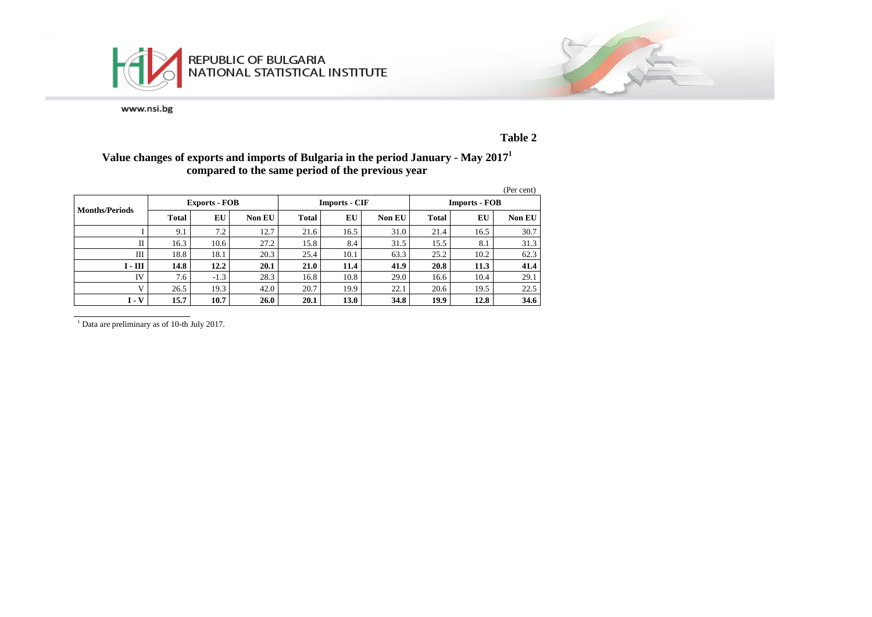



### **Table 2**

## **Value changes of exports and imports of Bulgaria in the period January - May 20171 compared to the same period of the previous year**

|                       |       |                      |               |              |                      |               |                      |      | (Per cent) |  |
|-----------------------|-------|----------------------|---------------|--------------|----------------------|---------------|----------------------|------|------------|--|
| <b>Months/Periods</b> |       | <b>Exports - FOB</b> |               |              | <b>Imports - CIF</b> |               | <b>Imports - FOB</b> |      |            |  |
|                       | Total | EU                   | <b>Non EU</b> | <b>Total</b> | EU                   | <b>Non EU</b> | <b>Total</b>         | EU   | Non EU     |  |
|                       | 9.1   | 7.2                  | 12.7          | 21.6         | 16.5                 | 31.0          | 21.4                 | 16.5 | 30.7       |  |
| П                     | 16.3  | 10.6                 | 27.2          | 15.8         | 8.4                  | 31.5          | 15.5                 | 8.1  | 31.3       |  |
| Ш                     | 18.8  | 18.1                 | 20.3          | 25.4         | 10.1                 | 63.3          | 25.2                 | 10.2 | 62.3       |  |
| $I - III$             | 14.8  | 12.2                 | 20.1          | 21.0         | 11.4                 | 41.9          | 20.8                 | 11.3 | 41.4       |  |
| IV                    | 7.6   | $-1.3$               | 28.3          | 16.8         | 10.8                 | 29.0          | 16.6                 | 10.4 | 29.1       |  |
| $\mathbf{V}$          | 26.5  | 19.3                 | 42.0          | 20.7         | 19.9                 | 22.1          | 20.6                 | 19.5 | 22.5       |  |
| $I - V$               | 15.7  | 10.7                 | 26.0          | 20.1         | 13.0                 | 34.8          | 19.9                 | 12.8 | 34.6       |  |

<sup>1</sup> Data are preliminary as of 10-th July 2017.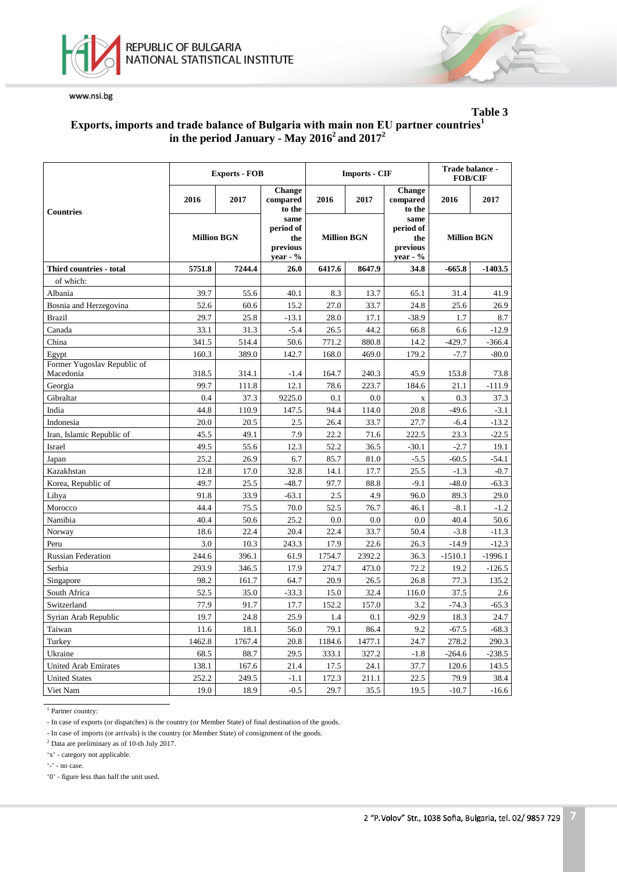



## **Table 3 Еxports, imports and trade balance of Bulgaria with main non EU partner countries<sup>1</sup> in the period January - May 20162 and 20172**

|                                          |                    | <b>Exports - FOB</b> |                                                    |                    | <b>Imports - CIF</b> | Trade balance -<br><b>FOB/CIF</b>                  |                    |           |
|------------------------------------------|--------------------|----------------------|----------------------------------------------------|--------------------|----------------------|----------------------------------------------------|--------------------|-----------|
| <b>Countries</b>                         | 2016               | 2017                 | <b>Change</b><br>compared<br>to the                | 2016               | 2017                 | <b>Change</b><br>compared<br>to the                | 2016               | 2017      |
|                                          | <b>Million BGN</b> |                      | same<br>period of<br>the<br>previous<br>$year - %$ | <b>Million BGN</b> |                      | same<br>period of<br>the<br>previous<br>year - $%$ | <b>Million BGN</b> |           |
| Third countries - total                  | 5751.8             | 7244.4               | 26.0                                               | 6417.6             | 8647.9               | 34.8                                               | $-665.8$           | $-1403.5$ |
| of which:                                |                    |                      |                                                    |                    |                      |                                                    |                    |           |
| Albania                                  | 39.7               | 55.6                 | 40.1                                               | 8.3                | 13.7                 | 65.1                                               | 31.4               | 41.9      |
| Bosnia and Herzegovina                   | 52.6               | 60.6                 | 15.2                                               | 27.0               | 33.7                 | 24.8                                               | 25.6               | 26.9      |
| <b>Brazil</b>                            | 29.7               | 25.8                 | $-13.1$                                            | 28.0               | 17.1                 | $-38.9$                                            | 1.7                | 8.7       |
| Canada                                   | 33.1               | 31.3                 | $-5.4$                                             | 26.5               | 44.2                 | 66.8                                               | 6.6                | $-12.9$   |
| China                                    | 341.5              | 514.4                | 50.6                                               | 771.2              | 880.8                | 14.2                                               | $-429.7$           | $-366.4$  |
| Egypt                                    | 160.3              | 389.0                | 142.7                                              | 168.0              | 469.0                | 179.2                                              | $-7.7$             | $-80.0$   |
| Former Yugoslav Republic of<br>Macedonia | 318.5              | 314.1                | -1.4                                               | 164.7              | 240.3                | 45.9                                               | 153.8              | 73.8      |
| Georgia                                  | 99.7               | 111.8                | 12.1                                               | 78.6               | 223.7                | 184.6                                              | 21.1               | $-111.9$  |
| Gibraltar                                | 0.4                | 37.3                 | 9225.0                                             | 0.1                | 0.0                  | $\mathbf X$                                        | 0.3                | 37.3      |
| India                                    | 44.8               | 110.9                | 147.5                                              | 94.4               | 114.0                | 20.8                                               | $-49.6$            | $-3.1$    |
| Indonesia                                | 20.0               | 20.5                 | 2.5                                                | 26.4               | 33.7                 | 27.7                                               | $-6.4$             | $-13.2$   |
| Iran, Islamic Republic of                | 45.5               | 49.1                 | 7.9                                                | 22.2               | 71.6                 | 222.5                                              | 23.3               | $-22.5$   |
| Israel                                   | 49.5               | 55.6                 | 12.3                                               | 52.2               | 36.5                 | $-30.1$                                            | $-2.7$             | 19.1      |
| Japan                                    | 25.2               | 26.9                 | 6.7                                                | 85.7               | 81.0                 | $-5.5$                                             | $-60.5$            | $-54.1$   |
| Kazakhstan                               | 12.8               | 17.0                 | 32.8                                               | 14.1               | 17.7                 | 25.5                                               | $-1.3$             | $-0.7$    |
| Korea, Republic of                       | 49.7               | 25.5                 | $-48.7$                                            | 97.7               | 88.8                 | $-9.1$                                             | $-48.0$            | $-63.3$   |
| Libya                                    | 91.8               | 33.9                 | $-63.1$                                            | 2.5                | 4.9                  | 96.0                                               | 89.3               | 29.0      |
| Morocco                                  | 44.4               | 75.5                 | 70.0                                               | 52.5               | 76.7                 | 46.1                                               | $-8.1$             | $-1.2$    |
| Namibia                                  | 40.4               | 50.6                 | 25.2                                               | 0.0                | 0.0                  | 0.0                                                | 40.4               | 50.6      |
| Norway                                   | 18.6               | 22.4                 | 20.4                                               | 22.4               | 33.7                 | 50.4                                               | $-3.8$             | $-11.3$   |
| Peru                                     | 3.0                | 10.3                 | 243.3                                              | 17.9               | 22.6                 | 26.3                                               | $-14.9$            | $-12.3$   |
| <b>Russian Federation</b>                | 244.6              | 396.1                | 61.9                                               | 1754.7             | 2392.2               | 36.3                                               | $-1510.1$          | $-1996.1$ |
| Serbia                                   | 293.9              | 346.5                | 17.9                                               | 274.7              | 473.0                | 72.2                                               | 19.2               | $-126.5$  |
| Singapore                                | 98.2               | 161.7                | 64.7                                               | 20.9               | 26.5                 | 26.8                                               | 77.3               | 135.2     |
| South Africa                             | 52.5               | 35.0                 | $-33.3$                                            | 15.0               | 32.4                 | 116.0                                              | 37.5               | 2.6       |
| Switzerland                              | 77.9               | 91.7                 | 17.7                                               | 152.2              | 157.0                | 3.2                                                | $-74.3$            | $-65.3$   |
| Syrian Arab Republic                     | 19.7               | 24.8                 | 25.9                                               | 1.4                | 0.1                  | $-92.9$                                            | 18.3               | 24.7      |
| Taiwan                                   | 11.6               | 18.1                 | 56.0                                               | 79.1               | 86.4                 | 9.2                                                | $-67.5$            | $-68.3$   |
| Turkey                                   | 1462.8             | 1767.4               | 20.8                                               | 1184.6             | 1477.1               | 24.7                                               | 278.2              | 290.3     |
| Ukraine                                  | 68.5               | 88.7                 | 29.5                                               | 333.1              | 327.2                | $-1.8$                                             | $-264.6$           | $-238.5$  |
| <b>United Arab Emirates</b>              | 138.1              | 167.6                | 21.4                                               | 17.5               | 24.1                 | 37.7                                               | 120.6              | 143.5     |
| <b>United States</b>                     | 252.2              | 249.5                | $-1.1$                                             | 172.3              | 211.1                | 22.5                                               | 79.9               | 38.4      |
| Viet Nam                                 | 19.0               | 18.9                 | $-0.5$                                             | 29.7               | 35.5                 | 19.5                                               | $-10.7$            | $-16.6$   |

 $\overline{1}$  Partner country:

- In case of exports (or dispatches) is the country (or Member State) of final destination of the goods.

- In case of imports (or arrivals) is the country (or Member State) of consignment of the goods.

<sup>2</sup> Data are preliminary as of 10-th July 2017.

'x' - category not applicable.

'-' - no case.

'0' - figure less than half the unit used.